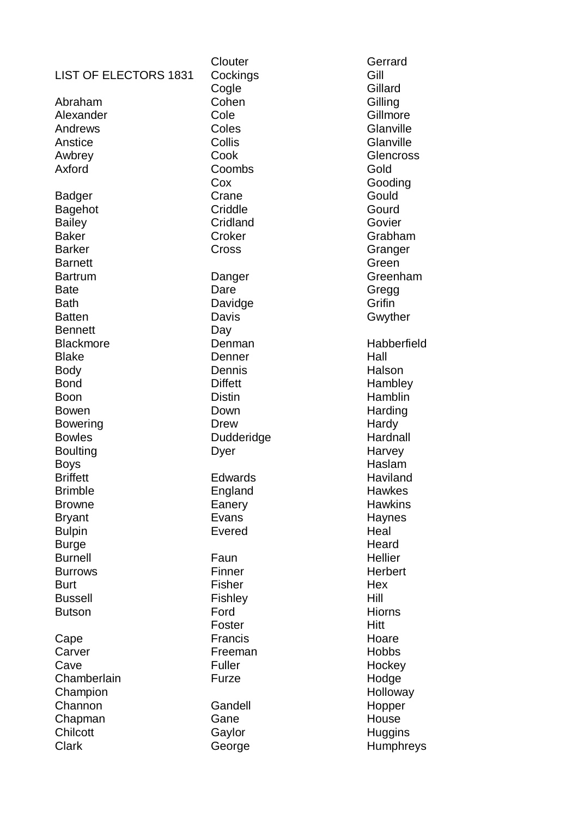| <b>LIST OF ELECTORS 1831</b><br>Abraham<br>Alexander<br>Andrews<br>Anstice<br>Awbrey<br>Axford                                                                                                | Clouter<br>Cockings<br>Cogle<br>Cohen<br>Cole<br>Coles<br>Collis<br>Cook<br>Coombs<br>Cox                                                 |
|-----------------------------------------------------------------------------------------------------------------------------------------------------------------------------------------------|-------------------------------------------------------------------------------------------------------------------------------------------|
| Badger<br>Bagehot<br><b>Bailey</b><br>Baker<br><b>Barker</b><br><b>Barnett</b>                                                                                                                | Crane<br>Criddle<br>Cridland<br>Croker<br>Cross                                                                                           |
| <b>Bartrum</b><br>Bate<br><b>Bath</b><br><b>Batten</b><br>Bennett<br><b>Blackmore</b><br><b>Blake</b><br>Body<br><b>Bond</b><br>Boon<br>Bowen<br>Bowering<br><b>Bowles</b><br><b>Boulting</b> | Danger<br>Dare<br>Davidge<br>Davis<br>Day<br>Denman<br>Denner<br>Dennis<br><b>Diffett</b><br>Distin<br>Down<br>Drew<br>Dudderidge<br>Dyer |
| Boys<br><b>Briffett</b><br>Brimble<br>Browne<br><b>Bryant</b><br><b>Bulpin</b><br><b>Burge</b>                                                                                                | Edwards<br>England<br>Eanery<br>Evans<br>Evered                                                                                           |
| <b>Burnell</b><br>Burrows<br><b>Burt</b><br><b>Bussell</b><br><b>Butson</b>                                                                                                                   | Faun<br>Finner<br><b>Fisher</b><br>Fishley<br>Ford<br>Foster                                                                              |
| Cape<br>Carver<br>Cave<br>Chamberlain<br>Champion                                                                                                                                             | Francis<br>Freeman<br><b>Fuller</b><br>Furze                                                                                              |
| Channon<br>Chapman<br>Chilcott<br>Clark                                                                                                                                                       | Gandell<br>Gane<br>Gaylor<br>George                                                                                                       |

Gerrard Gill **Gillard Gilling Gillmore Glanville Glanville Glencross** Gold Gooding **Gould** Gourd Govier Grabham Granger Green Greenham Gregg **Grifin** Gwyther Habberfield Hall Halson **Hambley** Hamblin **Harding** Hardy **Hardnall** Harvey Haslam **Haviland Hawkes Hawkins Haynes Heal Heard** Hellier **Herbert Hex** Hill Hiorns Hitt Hoare Hobbs **Hockey** Hodge **Holloway** Hopper House **Huggins** Humphreys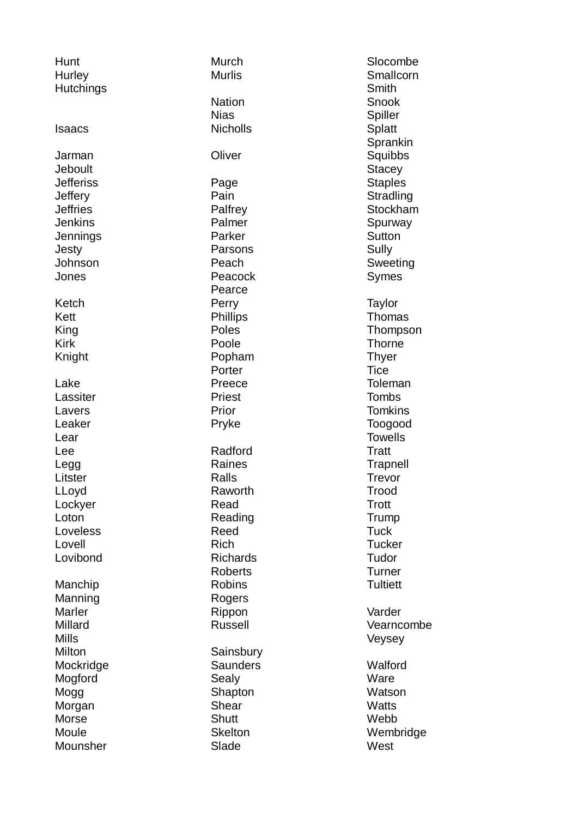| Hunt<br>Hurley<br><b>Hutchings</b>                                                                                                    |
|---------------------------------------------------------------------------------------------------------------------------------------|
| Isaacs                                                                                                                                |
| Jarman<br>Jeboult<br>Jefferiss<br>Jeffery<br>Jeffries<br>Jenkins<br>Jennings<br>Jesty<br>Johnson<br>Jones                             |
| Ketch<br>Kett<br>King<br>Kirk<br>Knight                                                                                               |
| Lake<br>Lassiter<br>Lavers<br>Leaker<br>Lear<br>Lee<br>Legg<br>Litster<br>LLoyd<br>Lockyer<br>Loton<br>Loveless<br>Lovell<br>Lovibond |
| Manchip<br>Manning<br>Marler<br>Millard<br>Mills<br>Milton<br>Mockridge<br>Mogford<br>Mogg<br>Morgan<br>Morse<br>Moule<br>Mounsher    |

Murch Murlis **Nation** Nias **Nicholls Oliver** Page Pain **Palfrey** Palmer Parker Parsons Peach Peacock Pearce Perry **Phillips** Poles Poole Popham **Porter** Preece Priest Prior Pryke Radford Raines Ralls Raworth Read Reading Reed Rich Richards Roberts Robins Rogers Rippon Russell **Sainsbury Saunders** Sealy Shapton Shear **Shutt Skelton** Slade

Slocombe **Smallcorn Smith** Snook **Spiller Splatt** Sprankin **Squibbs Stacey Staples Stradling Stockham** Spurway **Sutton** Sully Sweeting Symes **Taylor** Thomas Thompson **Thorne Thver Tice** Toleman **Tombs Tomkins** Toogood **Towells Tratt Trapnell** Trevor Trood **Trott** Trump **Tuck Tucker** Tudor **Turner Tultiett** Varder Vearncombe Veysey **Walford** Ware Watson **Watts** Webb Wembridge **West**